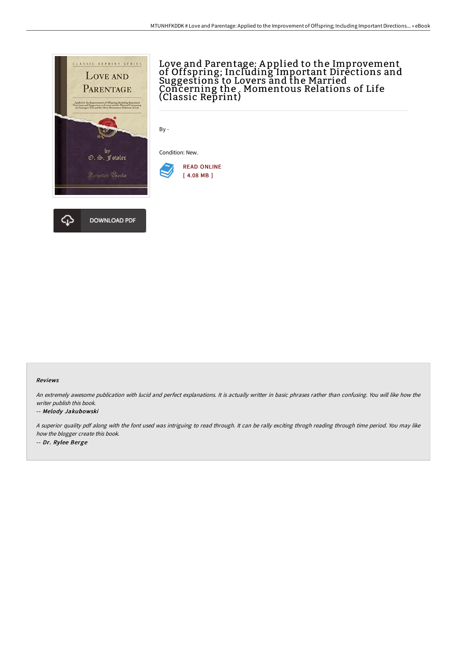

# Love and Parentage: A pplied to the Improvement of Offspring; Including Important Directions and Suggestions to Lovers and the Married Concerning the . Momentous Relations of Life (Classic Reprint)

By -

Condition: New.



#### Reviews

An extremely awesome publication with lucid and perfect explanations. It is actually writter in basic phrases rather than confusing. You will like how the writer publish this book.

#### -- Melody Jakubowski

<sup>A</sup> superior quality pdf along with the font used was intriguing to read through. It can be rally exciting throgh reading through time period. You may like how the blogger create this book. -- Dr. Rylee Berge